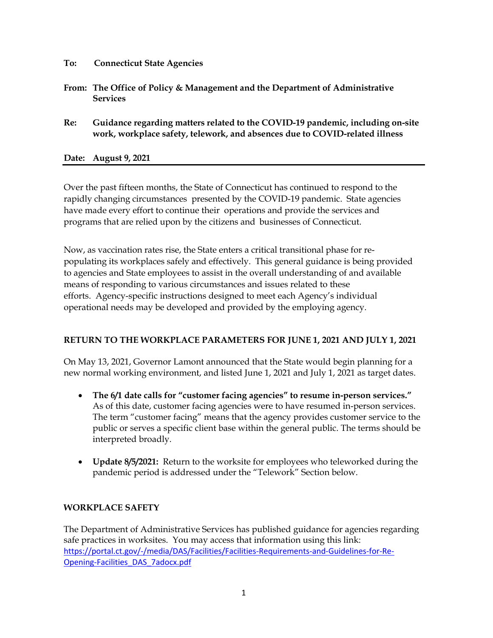- **To: Connecticut State Agencies**
- **From: The Office of Policy & Management and the Department of Administrative Services**
- **Re: Guidance regarding matters related to the COVID-19 pandemic, including on-site work, workplace safety, telework, and absences due to COVID-related illness**

#### **Date: August 9, 2021**

Over the past fifteen months, the State of Connecticut has continued to respond to the rapidly changing circumstances presented by the COVID-19 pandemic. State agencies have made every effort to continue their operations and provide the services and programs that are relied upon by the citizens and businesses of Connecticut.

Now, as vaccination rates rise, the State enters a critical transitional phase for repopulating its workplaces safely and effectively. This general guidance is being provided to agencies and State employees to assist in the overall understanding of and available means of responding to various circumstances and issues related to these efforts. Agency-specific instructions designed to meet each Agency's individual operational needs may be developed and provided by the employing agency.

### **RETURN TO THE WORKPLACE PARAMETERS FOR JUNE 1, 2021 AND JULY 1, 2021**

On May 13, 2021, Governor Lamont announced that the State would begin planning for a new normal working environment, and listed June 1, 2021 and July 1, 2021 as target dates.

- **The 6/1 date calls for "customer facing agencies" to resume in-person services."**  As of this date, customer facing agencies were to have resumed in-person services. The term "customer facing" means that the agency provides customer service to the public or serves a specific client base within the general public. The terms should be interpreted broadly.
- **Update 8/5/2021:** Return to the worksite for employees who teleworked during the pandemic period is addressed under the "Telework" Section below.

### **WORKPLACE SAFETY**

The Department of Administrative Services has published guidance for agencies regarding safe practices in worksites. You may access that information using this link: [https://portal.ct.gov/-/media/DAS/Facilities/Facilities-Requirements-and-Guidelines-for-Re-](https://portal.ct.gov/-/media/DAS/Facilities/Facilities-Requirements-and-Guidelines-for-Re-Opening-Facilities_DAS_7adocx.pdf)[Opening-Facilities\\_DAS\\_7adocx.pdf](https://portal.ct.gov/-/media/DAS/Facilities/Facilities-Requirements-and-Guidelines-for-Re-Opening-Facilities_DAS_7adocx.pdf)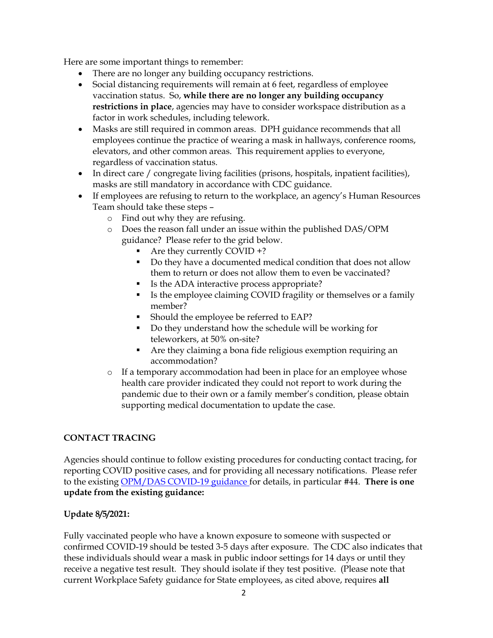Here are some important things to remember:

- There are no longer any building occupancy restrictions.
- Social distancing requirements will remain at 6 feet, regardless of employee vaccination status. So, **while there are no longer any building occupancy restrictions in place**, agencies may have to consider workspace distribution as a factor in work schedules, including telework.
- Masks are still required in common areas. DPH guidance recommends that all employees continue the practice of wearing a mask in hallways, conference rooms, elevators, and other common areas. This requirement applies to everyone, regardless of vaccination status.
- In direct care / congregate living facilities (prisons, hospitals, inpatient facilities), masks are still mandatory in accordance with CDC guidance.
- If employees are refusing to return to the workplace, an agency's Human Resources Team should take these steps –
	- o Find out why they are refusing.
	- o Does the reason fall under an issue within the published DAS/OPM guidance? Please refer to the grid below.
		- Are they currently COVID +?
		- Do they have a documented medical condition that does not allow them to return or does not allow them to even be vaccinated?
		- Is the ADA interactive process appropriate?
		- Is the employee claiming COVID fragility or themselves or a family member?
		- Should the employee be referred to EAP?
		- Do they understand how the schedule will be working for teleworkers, at 50% on-site?
		- Are they claiming a bona fide religious exemption requiring an accommodation?
	- o If a temporary accommodation had been in place for an employee whose health care provider indicated they could not report to work during the pandemic due to their own or a family member's condition, please obtain supporting medical documentation to update the case.

## **CONTACT TRACING**

Agencies should continue to follow existing procedures for conducting contact tracing, for reporting COVID positive cases, and for providing all necessary notifications. Please refer to the existing [OPM/DAS COVID-19 guidance](https://portal.ct.gov/-/media/Coronavirus/20210405-COVID19-Guidance-regarding-absences-requests-for-telework-and-or-changes-in-work-schedules.pdf) for details, in particular #44. **There is one update from the existing guidance:**

### **Update 8/5/2021:**

Fully vaccinated people who have a known exposure to someone with suspected or confirmed COVID-19 should be tested 3-5 days after exposure. The CDC also indicates that these individuals should wear a mask in public indoor settings for 14 days or until they receive a negative test result. They should isolate if they test positive. (Please note that current Workplace Safety guidance for State employees, as cited above, requires **all**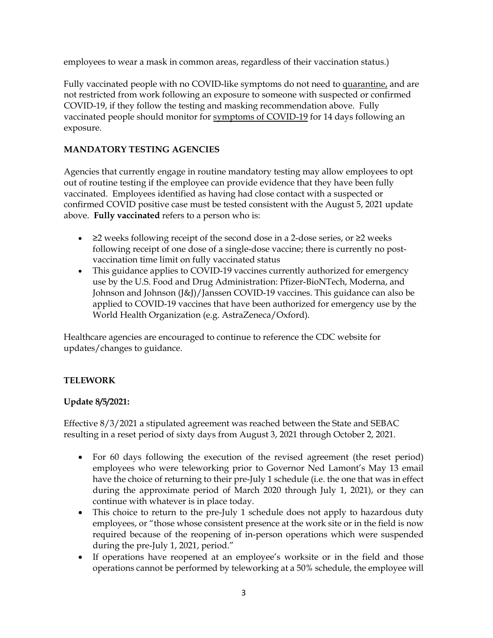employees to wear a mask in common areas, regardless of their vaccination status.)

Fully vaccinated people with no COVID-like symptoms do not need to [quarantine,](https://www.cdc.gov/coronavirus/2019-ncov/if-you-are-sick/quarantine.html) and are not restricted from work following an exposure to someone with suspected or confirmed COVID-19, if they follow the testing and masking recommendation above. Fully vaccinated people should monitor for [symptoms of COVID-19](https://www.cdc.gov/coronavirus/2019-ncov/symptoms-testing/symptoms.html) for 14 days following an exposure.

### **MANDATORY TESTING AGENCIES**

Agencies that currently engage in routine mandatory testing may allow employees to opt out of routine testing if the employee can provide evidence that they have been fully vaccinated. Employees identified as having had close contact with a suspected or confirmed COVID positive case must be tested consistent with the August 5, 2021 update above. **Fully vaccinated** refers to a person who is:

- ≥2 weeks following receipt of the second dose in a 2-dose series, or ≥2 weeks following receipt of one dose of a single-dose vaccine; there is currently no postvaccination time limit on fully vaccinated status
- This guidance applies to COVID-19 vaccines currently authorized for emergency use by the U.S. Food and Drug Administration: Pfizer-BioNTech, Moderna, and Johnson and Johnson (J&J)/Janssen COVID-19 vaccines. This guidance can also be applied to COVID-19 vaccines that have been authorized for emergency use by the World Health Organization (e.g. AstraZeneca/Oxford).

Healthcare agencies are encouraged to continue to reference the CDC website for updates/changes to guidance.

## **TELEWORK**

### **Update 8/5/2021:**

Effective 8/3/2021 a stipulated agreement was reached between the State and SEBAC resulting in a reset period of sixty days from August 3, 2021 through October 2, 2021.

- For 60 days following the execution of the revised agreement (the reset period) employees who were teleworking prior to Governor Ned Lamont's May 13 email have the choice of returning to their pre-July 1 schedule (i.e. the one that was in effect during the approximate period of March 2020 through July 1, 2021), or they can continue with whatever is in place today.
- This choice to return to the pre-July 1 schedule does not apply to hazardous duty employees, or "those whose consistent presence at the work site or in the field is now required because of the reopening of in-person operations which were suspended during the pre-July 1, 2021, period."
- If operations have reopened at an employee's worksite or in the field and those operations cannot be performed by teleworking at a 50% schedule, the employee will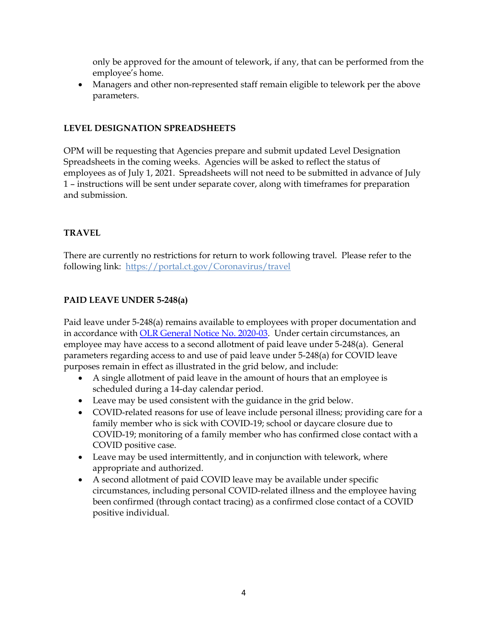only be approved for the amount of telework, if any, that can be performed from the employee's home.

• Managers and other non-represented staff remain eligible to telework per the above parameters.

### **LEVEL DESIGNATION SPREADSHEETS**

OPM will be requesting that Agencies prepare and submit updated Level Designation Spreadsheets in the coming weeks. Agencies will be asked to reflect the status of employees as of July 1, 2021. Spreadsheets will not need to be submitted in advance of July 1 – instructions will be sent under separate cover, along with timeframes for preparation and submission.

## **TRAVEL**

There are currently no restrictions for return to work following travel. Please refer to the following link: <https://portal.ct.gov/Coronavirus/travel>

## **PAID LEAVE UNDER 5-248(a)**

Paid leave under 5-248(a) remains available to employees with proper documentation and in accordance with [OLR General Notice No. 2020-03.](https://portal.ct.gov/-/media/OPM/OLR/Notices/2020-03-Mandatory-COVID-19-Testing.pdf) Under certain circumstances, an employee may have access to a second allotment of paid leave under 5-248(a). General parameters regarding access to and use of paid leave under 5-248(a) for COVID leave purposes remain in effect as illustrated in the grid below, and include:

- A single allotment of paid leave in the amount of hours that an employee is scheduled during a 14-day calendar period.
- Leave may be used consistent with the guidance in the grid below.
- COVID-related reasons for use of leave include personal illness; providing care for a family member who is sick with COVID-19; school or daycare closure due to COVID-19; monitoring of a family member who has confirmed close contact with a COVID positive case.
- Leave may be used intermittently, and in conjunction with telework, where appropriate and authorized.
- A second allotment of paid COVID leave may be available under specific circumstances, including personal COVID-related illness and the employee having been confirmed (through contact tracing) as a confirmed close contact of a COVID positive individual.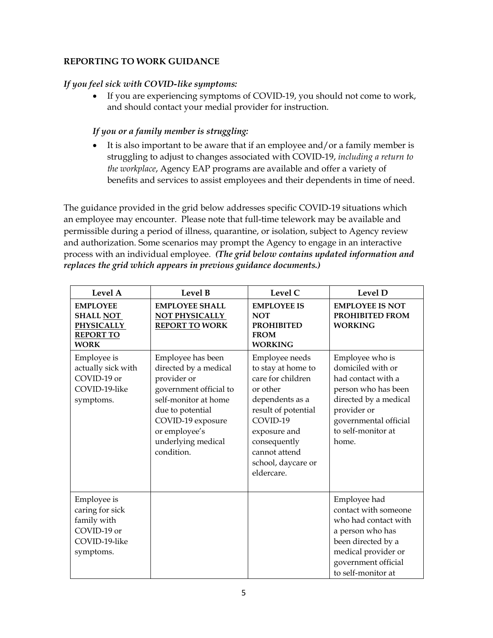## **REPORTING TO WORK GUIDANCE**

## *If you feel sick with COVID-like symptoms:*

• If you are experiencing symptoms of COVID-19, you should not come to work, and should contact your medial provider for instruction.

# *If you or a family member is struggling:*

• It is also important to be aware that if an employee and/or a family member is struggling to adjust to changes associated with COVID-19, *including a return to the workplace*, Agency EAP programs are available and offer a variety of benefits and services to assist employees and their dependents in time of need.

The guidance provided in the grid below addresses specific COVID-19 situations which an employee may encounter. Please note that full-time telework may be available and permissible during a period of illness, quarantine, or isolation, subject to Agency review and authorization. Some scenarios may prompt the Agency to engage in an interactive process with an individual employee. *(The grid below contains updated information and replaces the grid which appears in previous guidance documents.)*

| Level A                                                                                     | Level B                                                                                                                                                                                                   | Level C                                                                                                                                                                                                          | Level D                                                                                                                                                                           |
|---------------------------------------------------------------------------------------------|-----------------------------------------------------------------------------------------------------------------------------------------------------------------------------------------------------------|------------------------------------------------------------------------------------------------------------------------------------------------------------------------------------------------------------------|-----------------------------------------------------------------------------------------------------------------------------------------------------------------------------------|
| <b>EMPLOYEE</b><br><b>SHALL NOT</b><br><b>PHYSICALLY</b><br><b>REPORT TO</b><br><b>WORK</b> | <b>EMPLOYEE SHALL</b><br>NOT PHYSICALLY<br><b>REPORT TO WORK</b>                                                                                                                                          | <b>EMPLOYEE IS</b><br><b>NOT</b><br><b>PROHIBITED</b><br><b>FROM</b><br><b>WORKING</b>                                                                                                                           | <b>EMPLOYEE IS NOT</b><br><b>PROHIBITED FROM</b><br><b>WORKING</b>                                                                                                                |
| Employee is<br>actually sick with<br>COVID-19 or<br>COVID-19-like<br>symptoms.              | Employee has been<br>directed by a medical<br>provider or<br>government official to<br>self-monitor at home<br>due to potential<br>COVID-19 exposure<br>or employee's<br>underlying medical<br>condition. | Employee needs<br>to stay at home to<br>care for children<br>or other<br>dependents as a<br>result of potential<br>COVID-19<br>exposure and<br>consequently<br>cannot attend<br>school, daycare or<br>eldercare. | Employee who is<br>domiciled with or<br>had contact with a<br>person who has been<br>directed by a medical<br>provider or<br>governmental official<br>to self-monitor at<br>home. |
| Employee is<br>caring for sick<br>family with<br>COVID-19 or<br>COVID-19-like<br>symptoms.  |                                                                                                                                                                                                           |                                                                                                                                                                                                                  | Employee had<br>contact with someone<br>who had contact with<br>a person who has<br>been directed by a<br>medical provider or<br>government official<br>to self-monitor at        |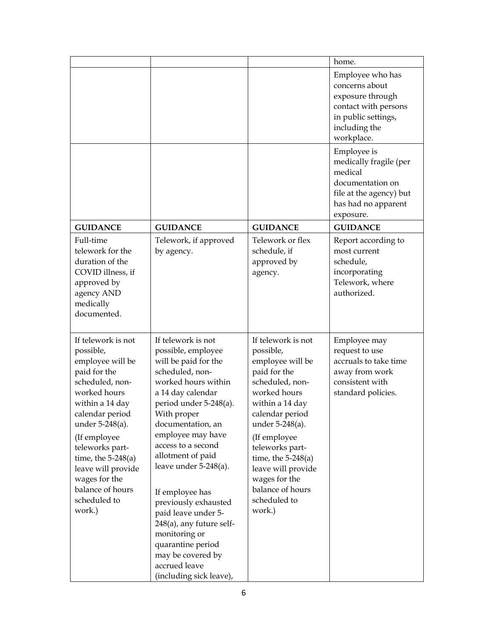|                                                                                                                                                                                                                                                                                                                 |                                                                                                                                                                                                                                                                                                                                                                                                                                                                                                |                                                                                                                                                                                                                                                                                                                 | home.                                                                                                                                |
|-----------------------------------------------------------------------------------------------------------------------------------------------------------------------------------------------------------------------------------------------------------------------------------------------------------------|------------------------------------------------------------------------------------------------------------------------------------------------------------------------------------------------------------------------------------------------------------------------------------------------------------------------------------------------------------------------------------------------------------------------------------------------------------------------------------------------|-----------------------------------------------------------------------------------------------------------------------------------------------------------------------------------------------------------------------------------------------------------------------------------------------------------------|--------------------------------------------------------------------------------------------------------------------------------------|
|                                                                                                                                                                                                                                                                                                                 |                                                                                                                                                                                                                                                                                                                                                                                                                                                                                                |                                                                                                                                                                                                                                                                                                                 | Employee who has<br>concerns about<br>exposure through<br>contact with persons<br>in public settings,<br>including the<br>workplace. |
|                                                                                                                                                                                                                                                                                                                 |                                                                                                                                                                                                                                                                                                                                                                                                                                                                                                |                                                                                                                                                                                                                                                                                                                 | Employee is<br>medically fragile (per<br>medical<br>documentation on<br>file at the agency) but<br>has had no apparent<br>exposure.  |
| <b>GUIDANCE</b>                                                                                                                                                                                                                                                                                                 | <b>GUIDANCE</b>                                                                                                                                                                                                                                                                                                                                                                                                                                                                                | <b>GUIDANCE</b>                                                                                                                                                                                                                                                                                                 | <b>GUIDANCE</b>                                                                                                                      |
| Full-time<br>telework for the<br>duration of the<br>COVID illness, if<br>approved by<br>agency AND<br>medically<br>documented.                                                                                                                                                                                  | Telework, if approved<br>by agency.                                                                                                                                                                                                                                                                                                                                                                                                                                                            | Telework or flex<br>schedule, if<br>approved by<br>agency.                                                                                                                                                                                                                                                      | Report according to<br>most current<br>schedule,<br>incorporating<br>Telework, where<br>authorized.                                  |
| If telework is not<br>possible,<br>employee will be<br>paid for the<br>scheduled, non-<br>worked hours<br>within a 14 day<br>calendar period<br>under 5-248(a).<br>(If employee<br>teleworks part-<br>time, the $5-248(a)$<br>leave will provide<br>wages for the<br>balance of hours<br>scheduled to<br>work.) | If telework is not<br>possible, employee<br>will be paid for the<br>scheduled, non-<br>worked hours within<br>a 14 day calendar<br>period under 5-248(a).<br>With proper<br>documentation, an<br>employee may have<br>access to a second<br>allotment of paid<br>leave under $5-248(a)$ .<br>If employee has<br>previously exhausted<br>paid leave under 5-<br>248(a), any future self-<br>monitoring or<br>quarantine period<br>may be covered by<br>accrued leave<br>(including sick leave), | If telework is not<br>possible,<br>employee will be<br>paid for the<br>scheduled, non-<br>worked hours<br>within a 14 day<br>calendar period<br>under 5-248(a).<br>(If employee<br>teleworks part-<br>time, the $5-248(a)$<br>leave will provide<br>wages for the<br>balance of hours<br>scheduled to<br>work.) | Employee may<br>request to use<br>accruals to take time<br>away from work<br>consistent with<br>standard policies.                   |